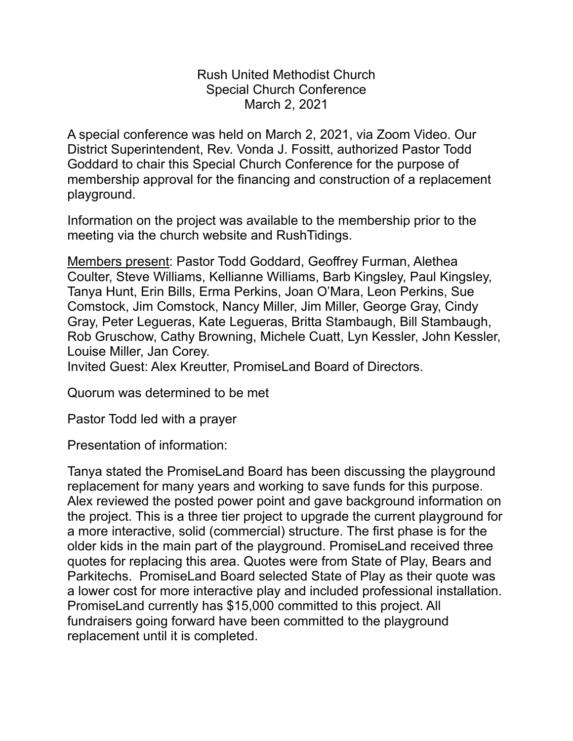Rush United Methodist Church Special Church Conference March 2, 2021

A special conference was held on March 2, 2021, via Zoom Video. Our District Superintendent, Rev. Vonda J. Fossitt, authorized Pastor Todd Goddard to chair this Special Church Conference for the purpose of membership approval for the financing and construction of a replacement playground.

Information on the project was available to the membership prior to the meeting via the church website and RushTidings.

Members present: Pastor Todd Goddard, Geoffrey Furman, Alethea Coulter, Steve Williams, Kellianne Williams, Barb Kingsley, Paul Kingsley, Tanya Hunt, Erin Bills, Erma Perkins, Joan O'Mara, Leon Perkins, Sue Comstock, Jim Comstock, Nancy Miller, Jim Miller, George Gray, Cindy Gray, Peter Legueras, Kate Legueras, Britta Stambaugh, Bill Stambaugh, Rob Gruschow, Cathy Browning, Michele Cuatt, Lyn Kessler, John Kessler, Louise Miller, Jan Corey.

Invited Guest: Alex Kreutter, PromiseLand Board of Directors.

Quorum was determined to be met

Pastor Todd led with a prayer

Presentation of information:

Tanya stated the PromiseLand Board has been discussing the playground replacement for many years and working to save funds for this purpose. Alex reviewed the posted power point and gave background information on the project. This is a three tier project to upgrade the current playground for a more interactive, solid (commercial) structure. The first phase is for the older kids in the main part of the playground. PromiseLand received three quotes for replacing this area. Quotes were from State of Play, Bears and Parkitechs. PromiseLand Board selected State of Play as their quote was a lower cost for more interactive play and included professional installation. PromiseLand currently has \$15,000 committed to this project. All fundraisers going forward have been committed to the playground replacement until it is completed.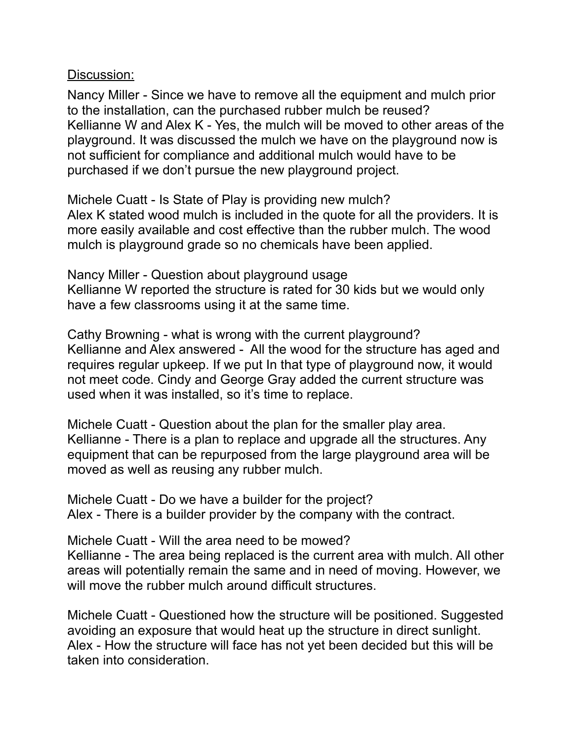Discussion:

Nancy Miller - Since we have to remove all the equipment and mulch prior to the installation, can the purchased rubber mulch be reused? Kellianne W and Alex K - Yes, the mulch will be moved to other areas of the playground. It was discussed the mulch we have on the playground now is not sufficient for compliance and additional mulch would have to be purchased if we don't pursue the new playground project.

Michele Cuatt - Is State of Play is providing new mulch? Alex K stated wood mulch is included in the quote for all the providers. It is more easily available and cost effective than the rubber mulch. The wood mulch is playground grade so no chemicals have been applied.

Nancy Miller - Question about playground usage Kellianne W reported the structure is rated for 30 kids but we would only have a few classrooms using it at the same time.

Cathy Browning - what is wrong with the current playground? Kellianne and Alex answered - All the wood for the structure has aged and requires regular upkeep. If we put In that type of playground now, it would not meet code. Cindy and George Gray added the current structure was used when it was installed, so it's time to replace.

Michele Cuatt - Question about the plan for the smaller play area. Kellianne - There is a plan to replace and upgrade all the structures. Any equipment that can be repurposed from the large playground area will be moved as well as reusing any rubber mulch.

Michele Cuatt - Do we have a builder for the project? Alex - There is a builder provider by the company with the contract.

Michele Cuatt - Will the area need to be mowed?

Kellianne - The area being replaced is the current area with mulch. All other areas will potentially remain the same and in need of moving. However, we will move the rubber mulch around difficult structures.

Michele Cuatt - Questioned how the structure will be positioned. Suggested avoiding an exposure that would heat up the structure in direct sunlight. Alex - How the structure will face has not yet been decided but this will be taken into consideration.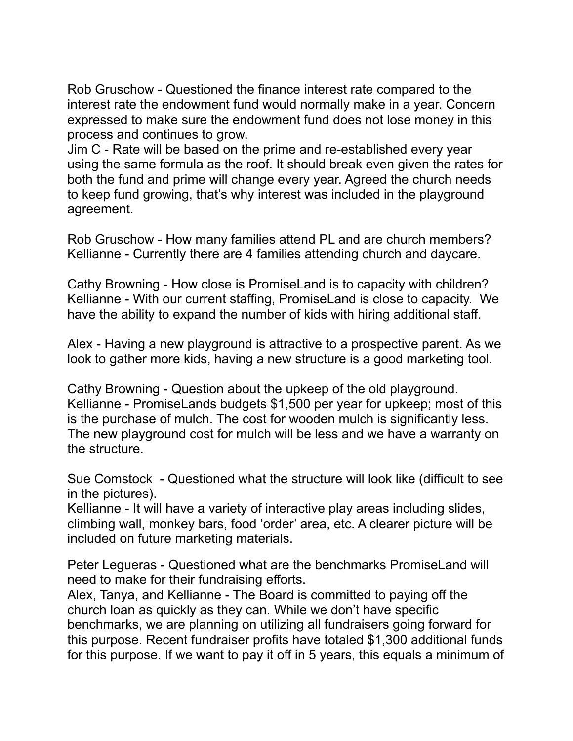Rob Gruschow - Questioned the finance interest rate compared to the interest rate the endowment fund would normally make in a year. Concern expressed to make sure the endowment fund does not lose money in this process and continues to grow.

Jim C - Rate will be based on the prime and re-established every year using the same formula as the roof. It should break even given the rates for both the fund and prime will change every year. Agreed the church needs to keep fund growing, that's why interest was included in the playground agreement.

Rob Gruschow - How many families attend PL and are church members? Kellianne - Currently there are 4 families attending church and daycare.

Cathy Browning - How close is PromiseLand is to capacity with children? Kellianne - With our current staffing, PromiseLand is close to capacity. We have the ability to expand the number of kids with hiring additional staff.

Alex - Having a new playground is attractive to a prospective parent. As we look to gather more kids, having a new structure is a good marketing tool.

Cathy Browning - Question about the upkeep of the old playground. Kellianne - PromiseLands budgets \$1,500 per year for upkeep; most of this is the purchase of mulch. The cost for wooden mulch is significantly less. The new playground cost for mulch will be less and we have a warranty on the structure.

Sue Comstock - Questioned what the structure will look like (difficult to see in the pictures).

Kellianne - It will have a variety of interactive play areas including slides, climbing wall, monkey bars, food 'order' area, etc. A clearer picture will be included on future marketing materials.

Peter Legueras - Questioned what are the benchmarks PromiseLand will need to make for their fundraising efforts.

Alex, Tanya, and Kellianne - The Board is committed to paying off the church loan as quickly as they can. While we don't have specific benchmarks, we are planning on utilizing all fundraisers going forward for this purpose. Recent fundraiser profits have totaled \$1,300 additional funds for this purpose. If we want to pay it off in 5 years, this equals a minimum of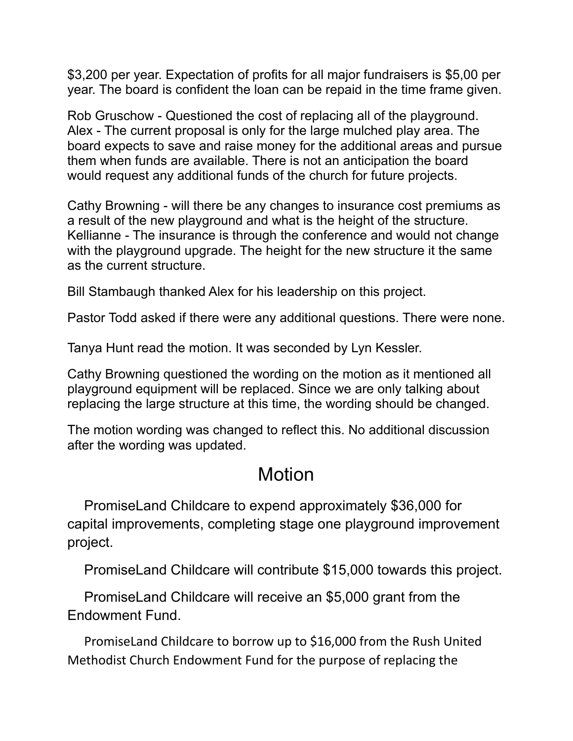\$3,200 per year. Expectation of profits for all major fundraisers is \$5,00 per year. The board is confident the loan can be repaid in the time frame given.

Rob Gruschow - Questioned the cost of replacing all of the playground. Alex - The current proposal is only for the large mulched play area. The board expects to save and raise money for the additional areas and pursue them when funds are available. There is not an anticipation the board would request any additional funds of the church for future projects.

Cathy Browning - will there be any changes to insurance cost premiums as a result of the new playground and what is the height of the structure. Kellianne - The insurance is through the conference and would not change with the playground upgrade. The height for the new structure it the same as the current structure.

Bill Stambaugh thanked Alex for his leadership on this project.

Pastor Todd asked if there were any additional questions. There were none.

Tanya Hunt read the motion. It was seconded by Lyn Kessler.

Cathy Browning questioned the wording on the motion as it mentioned all playground equipment will be replaced. Since we are only talking about replacing the large structure at this time, the wording should be changed.

The motion wording was changed to reflect this. No additional discussion after the wording was updated.

## Motion

PromiseLand Childcare to expend approximately \$36,000 for capital improvements, completing stage one playground improvement project.

PromiseLand Childcare will contribute \$15,000 towards this project.

PromiseLand Childcare will receive an \$5,000 grant from the Endowment Fund.

PromiseLand Childcare to borrow up to \$16,000 from the Rush United Methodist Church Endowment Fund for the purpose of replacing the